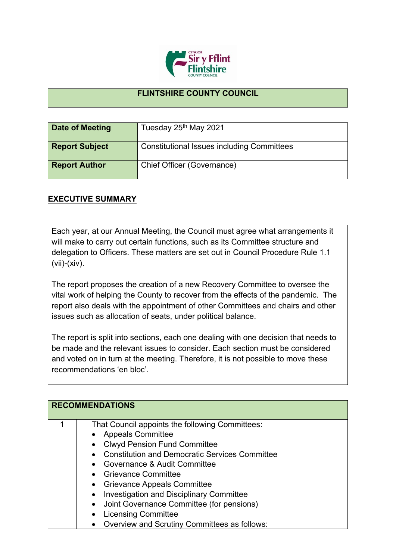

## **FLINTSHIRE COUNTY COUNCIL**

| Date of Meeting       | Tuesday 25th May 2021                             |
|-----------------------|---------------------------------------------------|
| <b>Report Subject</b> | <b>Constitutional Issues including Committees</b> |
| <b>Report Author</b>  | Chief Officer (Governance)                        |

## **EXECUTIVE SUMMARY**

Each year, at our Annual Meeting, the Council must agree what arrangements it will make to carry out certain functions, such as its Committee structure and delegation to Officers. These matters are set out in Council Procedure Rule 1.1 (vii)-(xiv).

The report proposes the creation of a new Recovery Committee to oversee the vital work of helping the County to recover from the effects of the pandemic. The report also deals with the appointment of other Committees and chairs and other issues such as allocation of seats, under political balance.

The report is split into sections, each one dealing with one decision that needs to be made and the relevant issues to consider. Each section must be considered and voted on in turn at the meeting. Therefore, it is not possible to move these recommendations 'en bloc'.

| <b>RECOMMENDATIONS</b>                                |
|-------------------------------------------------------|
| That Council appoints the following Committees:       |
| • Appeals Committee                                   |
| • Clwyd Pension Fund Committee                        |
| <b>Constitution and Democratic Services Committee</b> |
| • Governance & Audit Committee                        |
| • Grievance Committee                                 |
| • Grievance Appeals Committee                         |
| • Investigation and Disciplinary Committee            |
| • Joint Governance Committee (for pensions)           |
| <b>Licensing Committee</b>                            |
| Overview and Scrutiny Committees as follows:          |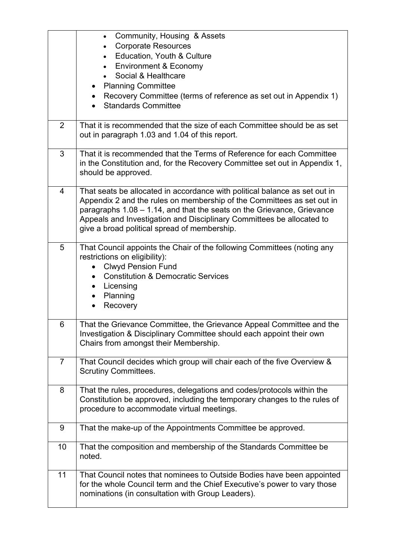|                | Community, Housing & Assets<br>$\bullet$<br><b>Corporate Resources</b><br>$\bullet$                                                                                                                                                                                                                                                                     |
|----------------|---------------------------------------------------------------------------------------------------------------------------------------------------------------------------------------------------------------------------------------------------------------------------------------------------------------------------------------------------------|
|                | Education, Youth & Culture<br>$\bullet$<br><b>Environment &amp; Economy</b>                                                                                                                                                                                                                                                                             |
|                | Social & Healthcare                                                                                                                                                                                                                                                                                                                                     |
|                | <b>Planning Committee</b><br>$\bullet$                                                                                                                                                                                                                                                                                                                  |
|                | Recovery Committee (terms of reference as set out in Appendix 1)<br>$\bullet$<br><b>Standards Committee</b>                                                                                                                                                                                                                                             |
| 2              | That it is recommended that the size of each Committee should be as set<br>out in paragraph 1.03 and 1.04 of this report.                                                                                                                                                                                                                               |
| 3              | That it is recommended that the Terms of Reference for each Committee<br>in the Constitution and, for the Recovery Committee set out in Appendix 1,<br>should be approved.                                                                                                                                                                              |
| 4              | That seats be allocated in accordance with political balance as set out in<br>Appendix 2 and the rules on membership of the Committees as set out in<br>paragraphs 1.08 - 1.14, and that the seats on the Grievance, Grievance<br>Appeals and Investigation and Disciplinary Committees be allocated to<br>give a broad political spread of membership. |
| 5              | That Council appoints the Chair of the following Committees (noting any<br>restrictions on eligibility):<br><b>Clwyd Pension Fund</b><br><b>Constitution &amp; Democratic Services</b><br>$\bullet$<br>Licensing<br>Planning<br>Recovery                                                                                                                |
| 6              | That the Grievance Committee, the Grievance Appeal Committee and the<br>Investigation & Disciplinary Committee should each appoint their own<br>Chairs from amongst their Membership.                                                                                                                                                                   |
| $\overline{7}$ | That Council decides which group will chair each of the five Overview &<br><b>Scrutiny Committees.</b>                                                                                                                                                                                                                                                  |
| 8              | That the rules, procedures, delegations and codes/protocols within the<br>Constitution be approved, including the temporary changes to the rules of<br>procedure to accommodate virtual meetings.                                                                                                                                                       |
| 9              | That the make-up of the Appointments Committee be approved.                                                                                                                                                                                                                                                                                             |
| 10             | That the composition and membership of the Standards Committee be<br>noted.                                                                                                                                                                                                                                                                             |
| 11             | That Council notes that nominees to Outside Bodies have been appointed<br>for the whole Council term and the Chief Executive's power to vary those<br>nominations (in consultation with Group Leaders).                                                                                                                                                 |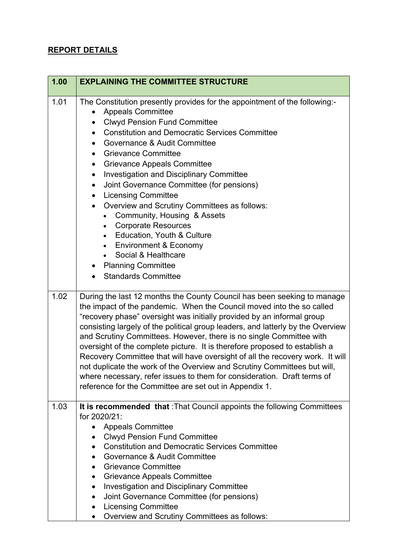## **REPORT DETAILS**

| 1.00 | <b>EXPLAINING THE COMMITTEE STRUCTURE</b>                                                                                                                                                                                                                                                                                                                                                                                                                                                                                                                                                                                                                                                                                                                                         |
|------|-----------------------------------------------------------------------------------------------------------------------------------------------------------------------------------------------------------------------------------------------------------------------------------------------------------------------------------------------------------------------------------------------------------------------------------------------------------------------------------------------------------------------------------------------------------------------------------------------------------------------------------------------------------------------------------------------------------------------------------------------------------------------------------|
| 1.01 | The Constitution presently provides for the appointment of the following:-<br><b>Appeals Committee</b><br><b>Clwyd Pension Fund Committee</b><br>$\bullet$<br><b>Constitution and Democratic Services Committee</b><br>$\bullet$<br>Governance & Audit Committee<br><b>Grievance Committee</b><br>$\bullet$<br><b>Grievance Appeals Committee</b><br>$\bullet$<br><b>Investigation and Disciplinary Committee</b><br>$\bullet$<br>Joint Governance Committee (for pensions)<br>$\bullet$<br><b>Licensing Committee</b><br>$\bullet$<br>Overview and Scrutiny Committees as follows:<br>$\bullet$<br>Community, Housing & Assets<br><b>Corporate Resources</b><br>$\bullet$<br><b>Education, Youth &amp; Culture</b><br>$\bullet$<br><b>Environment &amp; Economy</b><br>$\bullet$ |
|      | Social & Healthcare<br><b>Planning Committee</b><br><b>Standards Committee</b>                                                                                                                                                                                                                                                                                                                                                                                                                                                                                                                                                                                                                                                                                                    |
| 1.02 | During the last 12 months the County Council has been seeking to manage<br>the impact of the pandemic. When the Council moved into the so called<br>"recovery phase" oversight was initially provided by an informal group<br>consisting largely of the political group leaders, and latterly by the Overview<br>and Scrutiny Committees. However, there is no single Committee with<br>oversight of the complete picture. It is therefore proposed to establish a<br>Recovery Committee that will have oversight of all the recovery work. It will<br>not duplicate the work of the Overview and Scrutiny Committees but will,<br>where necessary, refer issues to them for consideration. Draft terms of<br>reference for the Committee are set out in Appendix 1.              |
| 1.03 | It is recommended that : That Council appoints the following Committees<br>for 2020/21:<br><b>Appeals Committee</b><br>$\bullet$<br><b>Clwyd Pension Fund Committee</b><br><b>Constitution and Democratic Services Committee</b><br>$\bullet$<br>Governance & Audit Committee<br>$\bullet$<br><b>Grievance Committee</b><br>$\bullet$<br><b>Grievance Appeals Committee</b><br>Investigation and Disciplinary Committee<br>$\bullet$<br>Joint Governance Committee (for pensions)<br>$\bullet$<br><b>Licensing Committee</b><br>Overview and Scrutiny Committees as follows:<br>$\bullet$                                                                                                                                                                                         |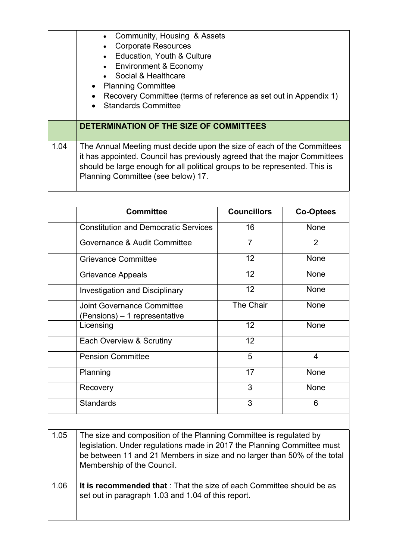|      | Community, Housing & Assets<br>$\bullet$<br><b>Corporate Resources</b><br>$\bullet$<br>Education, Youth & Culture<br><b>Environment &amp; Economy</b><br>$\bullet$<br>Social & Healthcare<br><b>Planning Committee</b><br>Recovery Committee (terms of reference as set out in Appendix 1)<br><b>Standards Committee</b> |                    |                  |
|------|--------------------------------------------------------------------------------------------------------------------------------------------------------------------------------------------------------------------------------------------------------------------------------------------------------------------------|--------------------|------------------|
|      | DETERMINATION OF THE SIZE OF COMMITTEES                                                                                                                                                                                                                                                                                  |                    |                  |
| 1.04 | The Annual Meeting must decide upon the size of each of the Committees<br>it has appointed. Council has previously agreed that the major Committees<br>should be large enough for all political groups to be represented. This is<br>Planning Committee (see below) 17.                                                  |                    |                  |
|      | <b>Committee</b>                                                                                                                                                                                                                                                                                                         | <b>Councillors</b> | <b>Co-Optees</b> |
|      | <b>Constitution and Democratic Services</b>                                                                                                                                                                                                                                                                              | 16                 | None             |
|      | Governance & Audit Committee                                                                                                                                                                                                                                                                                             | $\overline{7}$     | $\overline{2}$   |
|      | <b>Grievance Committee</b>                                                                                                                                                                                                                                                                                               | 12                 | None             |
|      | <b>Grievance Appeals</b>                                                                                                                                                                                                                                                                                                 | 12                 | None             |
|      | <b>Investigation and Disciplinary</b>                                                                                                                                                                                                                                                                                    | 12                 | None             |
|      | <b>Joint Governance Committee</b><br>(Pensions) – 1 representative                                                                                                                                                                                                                                                       | The Chair          | None             |
|      | Licensing                                                                                                                                                                                                                                                                                                                | 12                 | None             |
|      | Each Overview & Scrutiny                                                                                                                                                                                                                                                                                                 | 12                 |                  |
|      | <b>Pension Committee</b>                                                                                                                                                                                                                                                                                                 | 5                  | 4                |
|      | Planning                                                                                                                                                                                                                                                                                                                 | 17                 | None             |
|      | Recovery                                                                                                                                                                                                                                                                                                                 | 3                  | None             |
|      | <b>Standards</b>                                                                                                                                                                                                                                                                                                         | 3                  | 6                |
|      |                                                                                                                                                                                                                                                                                                                          |                    |                  |
| 1.05 | The size and composition of the Planning Committee is regulated by<br>legislation. Under regulations made in 2017 the Planning Committee must<br>be between 11 and 21 Members in size and no larger than 50% of the total<br>Membership of the Council.                                                                  |                    |                  |
| 1.06 | It is recommended that: That the size of each Committee should be as<br>set out in paragraph 1.03 and 1.04 of this report.                                                                                                                                                                                               |                    |                  |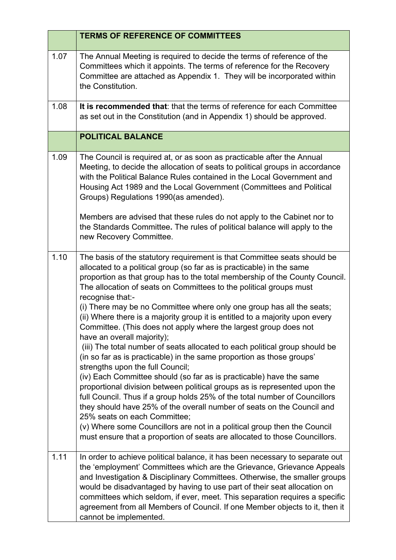|      | <b>TERMS OF REFERENCE OF COMMITTEES</b>                                                                                                                                                                                                                                                                                                                                                                                                                                                                                                                                                                                                                                                                                                                                                          |
|------|--------------------------------------------------------------------------------------------------------------------------------------------------------------------------------------------------------------------------------------------------------------------------------------------------------------------------------------------------------------------------------------------------------------------------------------------------------------------------------------------------------------------------------------------------------------------------------------------------------------------------------------------------------------------------------------------------------------------------------------------------------------------------------------------------|
| 1.07 | The Annual Meeting is required to decide the terms of reference of the<br>Committees which it appoints. The terms of reference for the Recovery<br>Committee are attached as Appendix 1. They will be incorporated within<br>the Constitution.                                                                                                                                                                                                                                                                                                                                                                                                                                                                                                                                                   |
| 1.08 | It is recommended that: that the terms of reference for each Committee<br>as set out in the Constitution (and in Appendix 1) should be approved.                                                                                                                                                                                                                                                                                                                                                                                                                                                                                                                                                                                                                                                 |
|      | <b>POLITICAL BALANCE</b>                                                                                                                                                                                                                                                                                                                                                                                                                                                                                                                                                                                                                                                                                                                                                                         |
| 1.09 | The Council is required at, or as soon as practicable after the Annual<br>Meeting, to decide the allocation of seats to political groups in accordance<br>with the Political Balance Rules contained in the Local Government and<br>Housing Act 1989 and the Local Government (Committees and Political<br>Groups) Regulations 1990(as amended).                                                                                                                                                                                                                                                                                                                                                                                                                                                 |
|      | Members are advised that these rules do not apply to the Cabinet nor to<br>the Standards Committee. The rules of political balance will apply to the<br>new Recovery Committee.                                                                                                                                                                                                                                                                                                                                                                                                                                                                                                                                                                                                                  |
| 1.10 | The basis of the statutory requirement is that Committee seats should be<br>allocated to a political group (so far as is practicable) in the same<br>proportion as that group has to the total membership of the County Council.<br>The allocation of seats on Committees to the political groups must<br>recognise that:-<br>(i) There may be no Committee where only one group has all the seats;<br>(ii) Where there is a majority group it is entitled to a majority upon every                                                                                                                                                                                                                                                                                                              |
|      | Committee. (This does not apply where the largest group does not<br>have an overall majority);<br>(iii) The total number of seats allocated to each political group should be<br>(in so far as is practicable) in the same proportion as those groups'<br>strengths upon the full Council;<br>(iv) Each Committee should (so far as is practicable) have the same<br>proportional division between political groups as is represented upon the<br>full Council. Thus if a group holds 25% of the total number of Councillors<br>they should have 25% of the overall number of seats on the Council and<br>25% seats on each Committee;<br>(v) Where some Councillors are not in a political group then the Council<br>must ensure that a proportion of seats are allocated to those Councillors. |
| 1.11 | In order to achieve political balance, it has been necessary to separate out<br>the 'employment' Committees which are the Grievance, Grievance Appeals<br>and Investigation & Disciplinary Committees. Otherwise, the smaller groups<br>would be disadvantaged by having to use part of their seat allocation on<br>committees which seldom, if ever, meet. This separation requires a specific<br>agreement from all Members of Council. If one Member objects to it, then it<br>cannot be implemented.                                                                                                                                                                                                                                                                                         |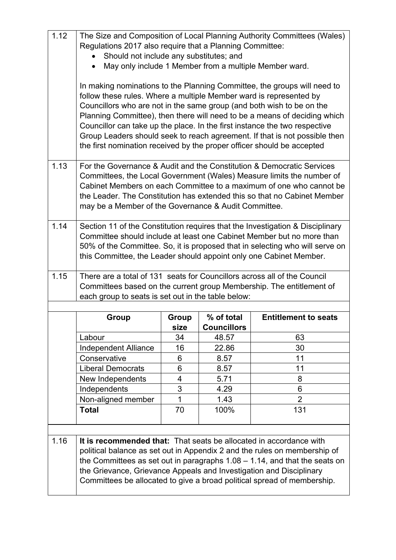| 1.12 | The Size and Composition of Local Planning Authority Committees (Wales)<br>Regulations 2017 also require that a Planning Committee:<br>Should not include any substitutes; and                                                                                                                                                                                                                                                                                                                                                             |       |                    |                                                                                                                                                            |
|------|--------------------------------------------------------------------------------------------------------------------------------------------------------------------------------------------------------------------------------------------------------------------------------------------------------------------------------------------------------------------------------------------------------------------------------------------------------------------------------------------------------------------------------------------|-------|--------------------|------------------------------------------------------------------------------------------------------------------------------------------------------------|
|      | May only include 1 Member from a multiple Member ward.                                                                                                                                                                                                                                                                                                                                                                                                                                                                                     |       |                    |                                                                                                                                                            |
|      | In making nominations to the Planning Committee, the groups will need to<br>follow these rules. Where a multiple Member ward is represented by<br>Councillors who are not in the same group (and both wish to be on the<br>Planning Committee), then there will need to be a means of deciding which<br>Councillor can take up the place. In the first instance the two respective<br>Group Leaders should seek to reach agreement. If that is not possible then<br>the first nomination received by the proper officer should be accepted |       |                    |                                                                                                                                                            |
| 1.13 | For the Governance & Audit and the Constitution & Democratic Services<br>Committees, the Local Government (Wales) Measure limits the number of<br>Cabinet Members on each Committee to a maximum of one who cannot be<br>the Leader. The Constitution has extended this so that no Cabinet Member<br>may be a Member of the Governance & Audit Committee.                                                                                                                                                                                  |       |                    |                                                                                                                                                            |
| 1.14 | Section 11 of the Constitution requires that the Investigation & Disciplinary<br>Committee should include at least one Cabinet Member but no more than<br>50% of the Committee. So, it is proposed that in selecting who will serve on<br>this Committee, the Leader should appoint only one Cabinet Member.                                                                                                                                                                                                                               |       |                    |                                                                                                                                                            |
| 1.15 | There are a total of 131 seats for Councillors across all of the Council<br>Committees based on the current group Membership. The entitlement of<br>each group to seats is set out in the table below:                                                                                                                                                                                                                                                                                                                                     |       |                    |                                                                                                                                                            |
|      | <b>Group</b>                                                                                                                                                                                                                                                                                                                                                                                                                                                                                                                               | Group | % of total         | <b>Entitlement to seats</b>                                                                                                                                |
|      |                                                                                                                                                                                                                                                                                                                                                                                                                                                                                                                                            | size  | <b>Councillors</b> |                                                                                                                                                            |
|      | Labour                                                                                                                                                                                                                                                                                                                                                                                                                                                                                                                                     | 34    | 48.57              | 63                                                                                                                                                         |
|      | Independent Alliance                                                                                                                                                                                                                                                                                                                                                                                                                                                                                                                       | 16    | 22.86              | 30                                                                                                                                                         |
|      | Conservative                                                                                                                                                                                                                                                                                                                                                                                                                                                                                                                               | 6     | 8.57               | 11                                                                                                                                                         |
|      | <b>Liberal Democrats</b>                                                                                                                                                                                                                                                                                                                                                                                                                                                                                                                   | 6     | 8.57               | 11                                                                                                                                                         |
|      | New Independents                                                                                                                                                                                                                                                                                                                                                                                                                                                                                                                           | 4     | 5.71               | 8                                                                                                                                                          |
|      | Independents                                                                                                                                                                                                                                                                                                                                                                                                                                                                                                                               | 3     | 4.29               | 6                                                                                                                                                          |
|      | Non-aligned member                                                                                                                                                                                                                                                                                                                                                                                                                                                                                                                         | 1     | 1.43               | $\overline{2}$                                                                                                                                             |
|      | <b>Total</b>                                                                                                                                                                                                                                                                                                                                                                                                                                                                                                                               | 70    | 100%               | 131                                                                                                                                                        |
|      |                                                                                                                                                                                                                                                                                                                                                                                                                                                                                                                                            |       |                    |                                                                                                                                                            |
| 1.16 | It is recommended that: That seats be allocated in accordance with<br>the Grievance, Grievance Appeals and Investigation and Disciplinary                                                                                                                                                                                                                                                                                                                                                                                                  |       |                    | political balance as set out in Appendix 2 and the rules on membership of<br>the Committees as set out in paragraphs $1.08 - 1.14$ , and that the seats on |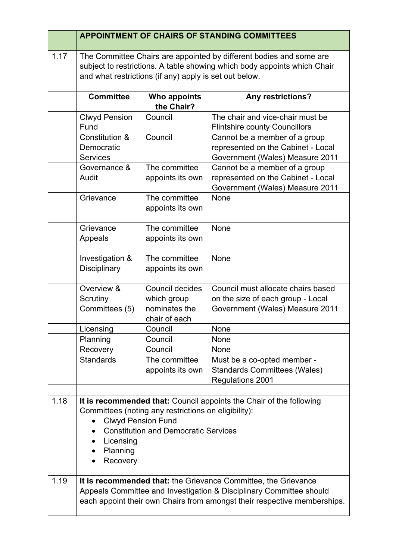|      | <b>APPOINTMENT OF CHAIRS OF STANDING COMMITTEES</b>                                                                                                                                                       |                                                                                                     |                                                                                                                                                                                                                   |
|------|-----------------------------------------------------------------------------------------------------------------------------------------------------------------------------------------------------------|-----------------------------------------------------------------------------------------------------|-------------------------------------------------------------------------------------------------------------------------------------------------------------------------------------------------------------------|
| 1.17 | The Committee Chairs are appointed by different bodies and some are<br>subject to restrictions. A table showing which body appoints which Chair<br>and what restrictions (if any) apply is set out below. |                                                                                                     |                                                                                                                                                                                                                   |
|      | <b>Committee</b>                                                                                                                                                                                          | Who appoints<br>the Chair?                                                                          | Any restrictions?                                                                                                                                                                                                 |
|      | <b>Clwyd Pension</b><br>Fund                                                                                                                                                                              | Council                                                                                             | The chair and vice-chair must be<br><b>Flintshire county Councillors</b>                                                                                                                                          |
|      | Constitution &<br>Democratic<br><b>Services</b>                                                                                                                                                           | Council                                                                                             | Cannot be a member of a group<br>represented on the Cabinet - Local<br>Government (Wales) Measure 2011                                                                                                            |
|      | Governance &<br>Audit                                                                                                                                                                                     | The committee<br>appoints its own                                                                   | Cannot be a member of a group<br>represented on the Cabinet - Local<br>Government (Wales) Measure 2011                                                                                                            |
|      | Grievance                                                                                                                                                                                                 | The committee<br>appoints its own                                                                   | None                                                                                                                                                                                                              |
|      | Grievance<br>Appeals                                                                                                                                                                                      | The committee<br>appoints its own                                                                   | None                                                                                                                                                                                                              |
|      | Investigation &<br><b>Disciplinary</b>                                                                                                                                                                    | The committee<br>appoints its own                                                                   | None                                                                                                                                                                                                              |
|      | Overview &<br>Scrutiny<br>Committees (5)                                                                                                                                                                  | Council decides<br>which group<br>nominates the<br>chair of each                                    | Council must allocate chairs based<br>on the size of each group - Local<br>Government (Wales) Measure 2011                                                                                                        |
|      | Licensing                                                                                                                                                                                                 | Council                                                                                             | None                                                                                                                                                                                                              |
|      | Planning                                                                                                                                                                                                  | Council                                                                                             | None                                                                                                                                                                                                              |
|      | Recovery                                                                                                                                                                                                  | Council                                                                                             | None                                                                                                                                                                                                              |
|      | <b>Standards</b>                                                                                                                                                                                          | The committee<br>appoints its own                                                                   | Must be a co-opted member -<br><b>Standards Committees (Wales)</b><br><b>Regulations 2001</b>                                                                                                                     |
| 1.18 | <b>Clwyd Pension Fund</b><br>Licensing<br>$\bullet$<br>Planning<br>Recovery                                                                                                                               | Committees (noting any restrictions on eligibility):<br><b>Constitution and Democratic Services</b> | It is recommended that: Council appoints the Chair of the following                                                                                                                                               |
| 1.19 |                                                                                                                                                                                                           |                                                                                                     | It is recommended that: the Grievance Committee, the Grievance<br>Appeals Committee and Investigation & Disciplinary Committee should<br>each appoint their own Chairs from amongst their respective memberships. |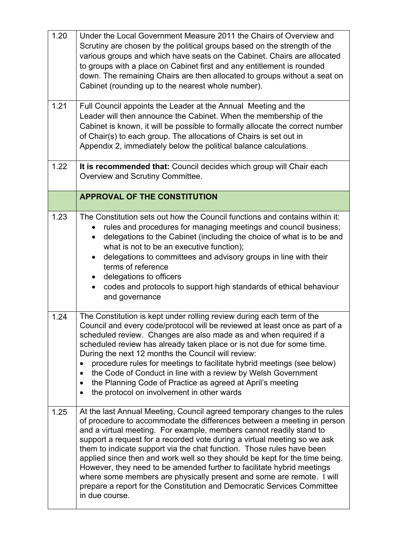| 1.20 | Under the Local Government Measure 2011 the Chairs of Overview and<br>Scrutiny are chosen by the political groups based on the strength of the<br>various groups and which have seats on the Cabinet. Chairs are allocated<br>to groups with a place on Cabinet first and any entitlement is rounded<br>down. The remaining Chairs are then allocated to groups without a seat on<br>Cabinet (rounding up to the nearest whole number).                                                                                                                                                                                                                                                                         |
|------|-----------------------------------------------------------------------------------------------------------------------------------------------------------------------------------------------------------------------------------------------------------------------------------------------------------------------------------------------------------------------------------------------------------------------------------------------------------------------------------------------------------------------------------------------------------------------------------------------------------------------------------------------------------------------------------------------------------------|
| 1.21 | Full Council appoints the Leader at the Annual Meeting and the<br>Leader will then announce the Cabinet. When the membership of the<br>Cabinet is known, it will be possible to formally allocate the correct number<br>of Chair(s) to each group. The allocations of Chairs is set out in<br>Appendix 2, immediately below the political balance calculations.                                                                                                                                                                                                                                                                                                                                                 |
| 1.22 | It is recommended that: Council decides which group will Chair each<br>Overview and Scrutiny Committee.                                                                                                                                                                                                                                                                                                                                                                                                                                                                                                                                                                                                         |
|      | <b>APPROVAL OF THE CONSTITUTION</b>                                                                                                                                                                                                                                                                                                                                                                                                                                                                                                                                                                                                                                                                             |
| 1.23 | The Constitution sets out how the Council functions and contains within it:<br>rules and procedures for managing meetings and council business;<br>delegations to the Cabinet (including the choice of what is to be and<br>$\bullet$<br>what is not to be an executive function);<br>delegations to committees and advisory groups in line with their<br>terms of reference<br>delegations to officers<br>$\bullet$<br>codes and protocols to support high standards of ethical behaviour<br>$\bullet$<br>and governance                                                                                                                                                                                       |
| 1.24 | The Constitution is kept under rolling review during each term of the<br>Council and every code/protocol will be reviewed at least once as part of a<br>scheduled review. Changes are also made as and when required if a<br>scheduled review has already taken place or is not due for some time.<br>During the next 12 months the Council will review:<br>procedure rules for meetings to facilitate hybrid meetings (see below)<br>$\bullet$<br>the Code of Conduct in line with a review by Welsh Government<br>the Planning Code of Practice as agreed at April's meeting<br>٠<br>the protocol on involvement in other wards<br>$\bullet$                                                                  |
| 1.25 | At the last Annual Meeting, Council agreed temporary changes to the rules<br>of procedure to accommodate the differences between a meeting in person<br>and a virtual meeting. For example, members cannot readily stand to<br>support a request for a recorded vote during a virtual meeting so we ask<br>them to indicate support via the chat function. Those rules have been<br>applied since then and work well so they should be kept for the time being.<br>However, they need to be amended further to facilitate hybrid meetings<br>where some members are physically present and some are remote. I will<br>prepare a report for the Constitution and Democratic Services Committee<br>in due course. |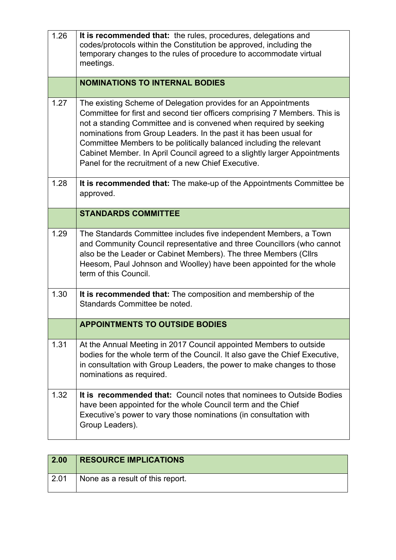| 1.26 | It is recommended that: the rules, procedures, delegations and<br>codes/protocols within the Constitution be approved, including the<br>temporary changes to the rules of procedure to accommodate virtual<br>meetings.                                                                                                                                                                                                                                                                           |
|------|---------------------------------------------------------------------------------------------------------------------------------------------------------------------------------------------------------------------------------------------------------------------------------------------------------------------------------------------------------------------------------------------------------------------------------------------------------------------------------------------------|
|      | <b>NOMINATIONS TO INTERNAL BODIES</b>                                                                                                                                                                                                                                                                                                                                                                                                                                                             |
| 1.27 | The existing Scheme of Delegation provides for an Appointments<br>Committee for first and second tier officers comprising 7 Members. This is<br>not a standing Committee and is convened when required by seeking<br>nominations from Group Leaders. In the past it has been usual for<br>Committee Members to be politically balanced including the relevant<br>Cabinet Member. In April Council agreed to a slightly larger Appointments<br>Panel for the recruitment of a new Chief Executive. |
| 1.28 | It is recommended that: The make-up of the Appointments Committee be<br>approved.                                                                                                                                                                                                                                                                                                                                                                                                                 |
|      | <b>STANDARDS COMMITTEE</b>                                                                                                                                                                                                                                                                                                                                                                                                                                                                        |
| 1.29 | The Standards Committee includes five independent Members, a Town<br>and Community Council representative and three Councillors (who cannot<br>also be the Leader or Cabinet Members). The three Members (Cllrs<br>Heesom, Paul Johnson and Woolley) have been appointed for the whole<br>term of this Council.                                                                                                                                                                                   |
| 1.30 | It is recommended that: The composition and membership of the<br>Standards Committee be noted.                                                                                                                                                                                                                                                                                                                                                                                                    |
|      | <b>APPOINTMENTS TO OUTSIDE BODIES</b>                                                                                                                                                                                                                                                                                                                                                                                                                                                             |
| 1.31 | At the Annual Meeting in 2017 Council appointed Members to outside<br>bodies for the whole term of the Council. It also gave the Chief Executive,<br>in consultation with Group Leaders, the power to make changes to those<br>nominations as required.                                                                                                                                                                                                                                           |
| 1.32 | It is recommended that: Council notes that nominees to Outside Bodies<br>have been appointed for the whole Council term and the Chief<br>Executive's power to vary those nominations (in consultation with<br>Group Leaders).                                                                                                                                                                                                                                                                     |

| 2.00 | <b>RESOURCE IMPLICATIONS</b>     |
|------|----------------------------------|
| 2.01 | None as a result of this report. |